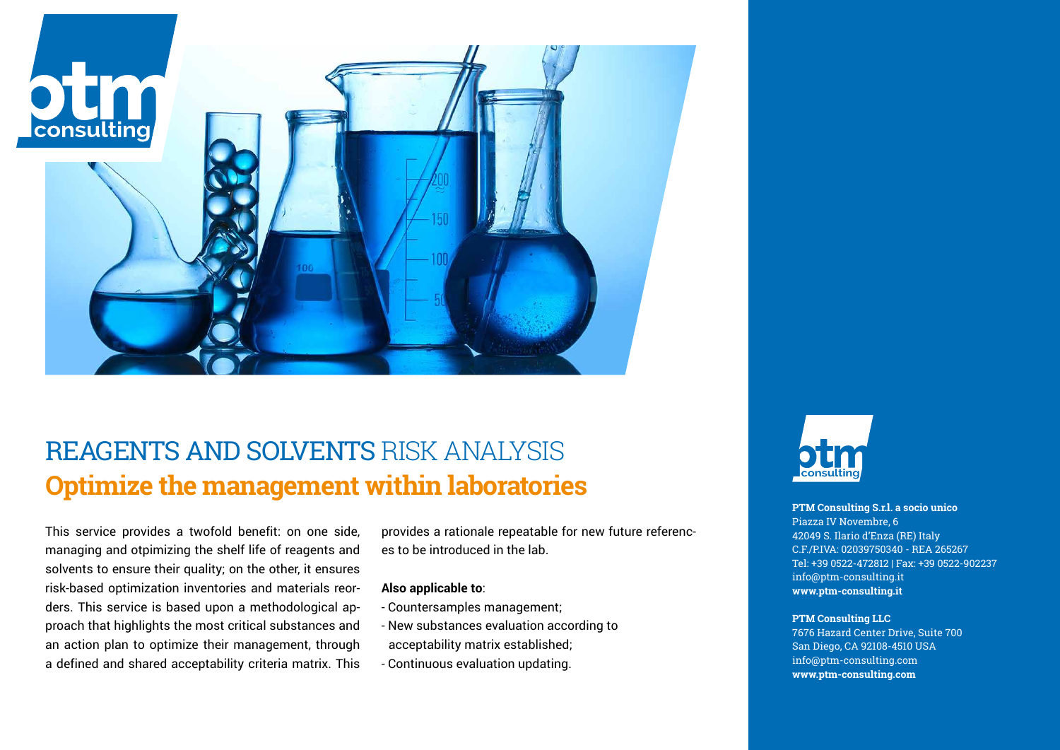

## REAGENTS AND SOLVENTS RISK ANALYSIS **Optimize the management within laboratories**

This service provides a twofold benefit: on one side, managing and otpimizing the shelf life of reagents and solvents to ensure their quality; on the other, it ensures risk-based optimization inventories and materials reorders. This service is based upon a methodological approach that highlights the most critical substances and an action plan to optimize their management, through a defined and shared acceptability criteria matrix. This provides a rationale repeatable for new future references to be introduced in the lab.

### **Also applicable to**:

- Countersamples management;
- New substances evaluation according to acceptability matrix established;
- Continuous evaluation updating.



### **PTM Consulting S.r.l. a socio unico**

Piazza IV Novembre, 6 42049 S. Ilario d'Enza (RE) Italy C.F./P.IVA: 02039750340 - REA 265267 Tel: +39 0522-472812 | Fax: +39 0522-902237 info@ptm-consulting.it **www.ptm-consulting.it**

#### **PTM Consulting LLC**

7676 Hazard Center Drive, Suite 700 San Diego, CA 92108-4510 USA info@ptm-consulting.com **www.ptm-consulting.com**